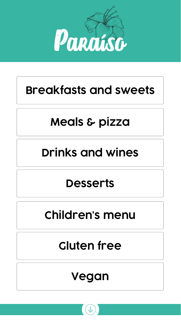# **[Meals & pizza](#page-2-0)**

## **[Children's menu](#page-5-0)**

# **[Drinks and wines](#page-3-0)**

# **Gluten free**

### **[Desserts](#page-4-0)**





<span id="page-0-0"></span>

# **[Breakfasts and sweets](#page-1-0)**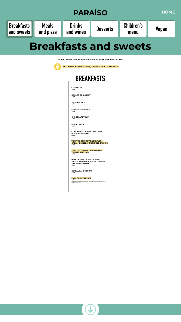<span id="page-1-0"></span>![](_page_1_Figure_0.jpeg)

### **Breakfasts and sweets**

**IF YOU HAVE ANY FOOD ALLERGY PLEASE ASK OUR STAFF**

![](_page_1_Picture_3.jpeg)

 **OPTIONAL GLUTEN FREE, PLEASE ASK OUR STAFF** 

**CROISSANT** *1,50 €*

**GRILLED CROISSANT** *3,40 €*

**SUGAR DONUT** *1,40 €*

**CHOCOLATE DONUT** *1,40 €*

**CHOCOLATE TULIP** *1,80 €*

**IOGURT TULIP** *1,80 €*

**CONTINENTAL BREAKFAST (TOAST BUTTER AND JAM)** *3,80 €*

**TOASTED COUNTRY BREAD WITH CREAM CHEESE AND SMOKED SALMON** *5,90€*

**TOASTED COUNTRY BREAD WITH TOMATO AND HAM** *5,90€*

**HAM, CHEESE OR FUET (CURED SAUSAGE) MINI BAGUETTE, ORANGE JUICE AND COFFEE** *4,90 €*

**CEREALS AND IOGURT** *3,50 €*

### **ENGLISH BREAKFAST**

*6,90 € Eggs, English bacon, beans, toast, English sausage, coffee with milk or tea*

![](_page_1_Picture_19.jpeg)

![](_page_1_Picture_20.jpeg)

![](_page_1_Picture_5.jpeg)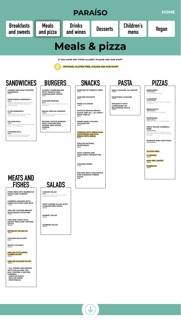**CHEESE AND HAM TOASTED SANDWICH**

*4,10 €* 

**VEGETARIAN SANDWICH** *5,20 € Vegetarian: Multi-grain bread, lettuce, cheese,* 

*tomato and hard-boiled egg - mayonnaise served separately.*

**CLUB SANDWICH** *6,30 € Club Sandwich: Sliced bread, ham, lettuce,* 

*tomato, bacon, chicken and egg.*

**SALMON ROLL** *7,50 € Salmon roll: Pita bread, smoked salmon, Tzatziki sauce, onion and watercress.*

**CHICKEN ROLL** *6,80 € Chicken roll: Pita bread, chicken, tomato, Tzatziki sauce, onion and watercress.*

**PORK RIBS WITH BARBECUE SAUCE AND GARNISH** *15,90 €*

**CURRIED CHICKEN WITH FRIED POTATOES AND RICE** *11,30 €*

**GRILLED CHICKEN BREAST WITH BAKED POTATOES** *11,00 €*

**FISH AND CHIPS WITH MUSHY PEAS AND TARTARE SAUCE** *10,10 €*

**ENTRECOT DE 300 GR** *18,30 €* 

**CHICKEN ESCALOPE\*** *9,90 €*

**ROAST CHICKEN\*** *10,70 €*

**GRILLED CUTTLEFISH COMBO PLATE\*** *14,10 €*

**GRILLED SALMON FILLET\*** *15,90 €*

**\* ALL DISHES ARE SERVED WITH SALAD AND YOU MAY CHOOSE A SECOND GARNISH: CHIPS OR MASH, RICE OR MIXED** 

![](_page_2_Picture_63.jpeg)

![](_page_2_Picture_64.jpeg)

**CLASSIC HAMBURGUER WITH TOMATO AND** 

![](_page_2_Picture_8.jpeg)

**CARAMELISED ONION** *8,00 €*

**CHICKEN BURGER** *8,00 € Sesame seed bun, lettuce, tomato and mustard mayonnaise.*

**ANGUS SPECIAL BURGER** *15,20 € Sesame seed bun, lettuce, brie cheese, onion, bacon and beef burger.*

**BEYOND VEGGIE BURGER WITH CARAMELISED ONIONS AND VEGAN CHEESE** *14,90 €*

<span id="page-2-0"></span>![](_page_2_Picture_0.jpeg)

**PORTION OF FRENCH FRIES** *4,40 €*

**CHICKEN NUGGETS** *5,90 €*

**FRIED CALAMARI**  *11,80 €*

**PATATAS BRAVAS BRAVA SAUCE AND ALL I OLI (SPICY WITH GARLIC)**  *8,00 €*

**HOME MADE CHICKEN CROQUETTES**  *8,20 €*

**HUMMUS WITH FRESH RAW VEGETABLES AND PITA BREAD WITH SEEDS** *9,80 €*

**GRILLED NATURAL VEGETABLES** *9,50 €*

**GOAT CHEESE AND VEGETABLE CROQUETTES** *9,10€*

**CHICKEN WINGS** *7,10 €*

**NACHOS WITH GUACAMOLE AND CHEDDAR CHEESE SAUCE** *9,90€*

**MEAT LASAGNE 'AU GRATIN'**  *11,80 €*

![](_page_2_Picture_12.jpeg)

**VEGETABLE LASAGNE** *11,50 €*

**SPAGHETTI WITH CARBONARA OR BOLOGNESE SAUCE** *10,90 €*

**MARGARITA** *11,00 € (30 cm)* 

*Tomato sauce and mozzarella*

**4 CHEESES** *12,90 € (30 cm) Parmesan, emmental, roquefort, mozzarella, tomato sauce*

**PROSCIUTTO** *12,90 € (30 cm) Ham, tomato sauce and mozzarella*

**PEPPERONI** *12,90 € (30 cm) Pepperoni, tomato sauce and Mozzarella*

**PIZZA VEGGIE CAMBRILS PARK** *12,90 € (30 cm) Artichoke, mushrooms, courgette, red and green pepper, onion, tomato sauce and vegan mozzarella.*

**PUMPKIN AND CEPS PIZZA** *12,90 € (30 cm)* 

### **GLUTEN FREE:**

**4 CHEESES** *12,90 €*

**HAM AND CHEESE** *12,90 €*

**BARBECUE** *12,90 €*

**CAESAR SALAD**

*9,80 € Mixed lettuce, chicken, croutons, parmesan cheese and Caesar sauce.*

**GOAT CHEESE SALAD WITH CARAMELIZED APPLE** *10,50 €*

**MARKET SALAD** *10,40 €*

**CAPRESE SALAD** *10,40 €*

![](_page_2_Picture_4.jpeg)

**MEATS AND FISHES**

![](_page_2_Picture_6.jpeg)

**SALADS**

**IF YOU HAVE ANY FOOD ALLERGY PLEASE ASK OUR STAFF**

![](_page_2_Picture_2.jpeg)

 **OPTIONAL GLUTEN FREE, PLEASE ASK OUR STAFF**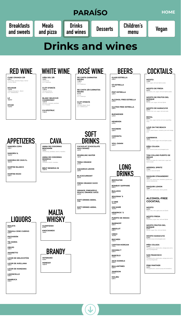<span id="page-3-0"></span>![](_page_3_Picture_0.jpeg)

**MOJITO** *7,70 € Rum, sugar, mint and Sprite (soda).*

**MOJITO DE FRESA** *8,00 € Strawberry, rum, sugar, mint and Sprite (soda).*

**DAIQUIRI LEMON** *7,60€ White rum, lemon juice, lemon granita.*

### **ALCOHOL-FREE COCKTAIL**

**MOJITO** *6,00 € Sugar, lime, mint, apple juice and Sprite*

**MOJITO FRESA** *6,30 € Strawberry, sugar, lime, mint and Sprite*

**MOJITO FRUTOS DEL BOSQUE** *6,30 € Berries, sugar, lime, mint and Sprite*

**MOJITO MARACUYÁ** *6,30 € Coconut syrup and pineapple juice*

**PIÑA COLADA** *5,20 € Pineapple juice, peach juice, orange juice and a hint of pomegranate*

**SAN FRANCISCO** *5,20 € Pineapple juice, peach juice, orange juice and a hint of pomegranate* 

**PINK PANTHER** *5,20 € Pineapple juice, coconut syrup and strawberry*

**CUNE CRIANZA 3/8** *8,30 € Ull de llebre, Garnatxa Negra, Samsó D.O.Ca. RIOJA* 

**SOLIMAR** *11,20 € Cabernet Sauvignon , Merlot D.O. TARRAGONA* 

**BAILEYS** *5,30 €*

**TEQUILA JOSE CUERVO** *6,60 €*

**PACHARÁN** *4,20 €*

**TÍA MARIA** *5,00 €*

**ORUJO** *4,90 €*

**AMARETTO** *4,10 €*

**LICOR DE MELOCOTÓN** *3,90 €*

![](_page_3_Picture_18.jpeg)

**LICOR DE AVELLANA** *3,90 €*

**LICOR DE MANZANA** *3,90 €*

**LIMONCELLO** *5,00 €*

![](_page_3_Figure_66.jpeg)

**VIÑA SOL 3/8**

*7,30 € Chardonnay D.O. Catalunya* 

**CLOT D'ENCÍS** *11,00 € Garnacha Blanca D.O. TERRA ALTA*

**GLENFIDISH** *9,10 €*

**KNOCKANDO** *7,60 €*

**DE CASTA GARNATXA NEGRA** *11,90 € Samsó D.O. Catalunya* 

**DE CASTA 3/8 GARNATXA NEGRA**

**ORANGE, PINEAPPLE, PEACH, ORANGE JUICE** *2,40 €*

**SOFT DRINKS 300ML** *2,50€*

**SOFT DRINKS 400ML** *2,90 €*

**VETERANO** *4,40 €*

**HENESSY** *10,30 €*

**BOMBAY SAPPHIRE** *9,60 €*

**BULLDOG** *9,60 €*

**SEAGRAM´S** *9,60 €*

**G-VINE** *12,50 €*

**GIN MARE** *12,50 €*

**HENDRICK´S** *11,30 €*

**PUERTO DE INDIAS** *9,60 €*

**SMIRNOFF**  *6,90 €*

**ABSOLUT** *6,90 €*

**CIROC** *12,50 €*

**BACARDI** *7,40 €*

**CAPITAN MORGAN** *7,10 €*

**HAVANA 7** *9,30 €*

**BARCELO** *7,10 €*

**JACK DANIELS** *9,40 €*

**BALLANTINES** *6,90 €*

**JAMESON** *9,10 €*

**MALIBU**

![](_page_3_Picture_67.jpeg)

![](_page_3_Picture_68.jpeg)

![](_page_3_Picture_15.jpeg)

**LIQUORS**

**MALTA WHISKY** **ROSÉ WINE**

![](_page_3_Picture_33.jpeg)

**GLASS ESTRELLA** *2,50 €*

**1/3 ESTRELLA** *2,60€*

**PINT ESTRELLA**

**BEERS**

### **Drinks and wines**

![](_page_3_Picture_2.jpeg)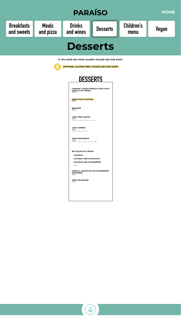**CARAMEL COATED FRENCH TOAST WITH VANILLA ICE CREAM** *7,80 €*

**FRESH FRUIT COCKTAIL**  *6,00 €*

**BROWNIE** *6,70 €*

**COPA TRES GUSTOS** *7,40 € Chocolate, vanilla and strawberry ice cream.*

<span id="page-4-0"></span>![](_page_4_Picture_0.jpeg)

**COPA TURRÓN** *7,50 € Nougat ice cream and cream.*

**COPA DINAMARCA** *7,40 € Vanilla ice cream, chocolate sauce and cream..*

**BIO VEGAN ICE-CREAM:**

• **COCONUT**

• **COCONUT AND CHOCOLATE**

• **COCONUT AND STRAWBERRY**

*3,80€*

**VANILLA, CHOCOLATE OR STRAWBERRY MILKSHAKE** *4,90 €*

**OREO MILKSHAKE** *5,20 €*

![](_page_4_Picture_18.jpeg)

![](_page_4_Picture_19.jpeg)

![](_page_4_Picture_4.jpeg)

**IF YOU HAVE ANY FOOD ALLERGY PLEASE ASK OUR STAFF**

![](_page_4_Picture_2.jpeg)

 **OPTIONAL GLUTEN FREE, PLEASE ASK OUR STAFF**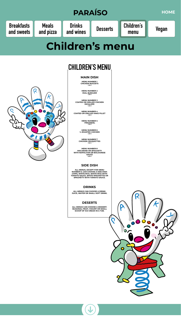<span id="page-5-0"></span>![](_page_5_Picture_0.jpeg)

**MAIN DISH**

**MENU NUMBER 1 CHICKEN NUGGETS** *7,90 €*

**MENU NUMBER 2**

![](_page_5_Picture_5.jpeg)

**VEAL BURGUER** *7,90 €*

**MENU NUMBER 3 COATED OR GRILLED CHICKEN ESCALOPE** *7,90 €*

**MENU NUMBER 4 COATED OR GRILLED HAKE FILLET** *7,90 €*

> **MENU NUMBER 5 FRIKANDEL** *7,90 €*

**MENU NUMBER 6 ¼ ROASTED CHICKEN** *7,90 €*

**MENU NUMBER 7 CHICKEN CROQUETTES** *7,90 €*

**MENU NUMBER 8 MACARONI OR SPAGUETTI WITH NAPOLITAN OR BOLOGNESE SAUCE** *6,90 €*

### **SIDE DISH**

**ALL MENUS, EXCEPT FOR MENU NUMBER 8, CAN CHOOSE A SIDE DISH: CHIPS, WHITE RICE, WHITE RICE WITH TOMATO SAUCE, WHITE SPAGHETTIS OR SPAGHETTI WITH TOMATO SAUCE.** 

**DRINKS**

**ALL MENUS CAN CHOOSE A DRINK: JUICE, WATER OR SMALL SOFT DRINK.**

### **DESERTS**

**ALL MENUS CAN CHOOSE A DESSERT: SEASONAL FRUIT, YOGURT OR SMALL SCOOP OF ICE CREAM IN A TUB.**

![](_page_5_Picture_19.jpeg)

 $\bigcup$ 

 $\mathbf O$ 

![](_page_5_Picture_20.jpeg)

![](_page_5_Picture_21.jpeg)

### **CHILDREN'S MENU**